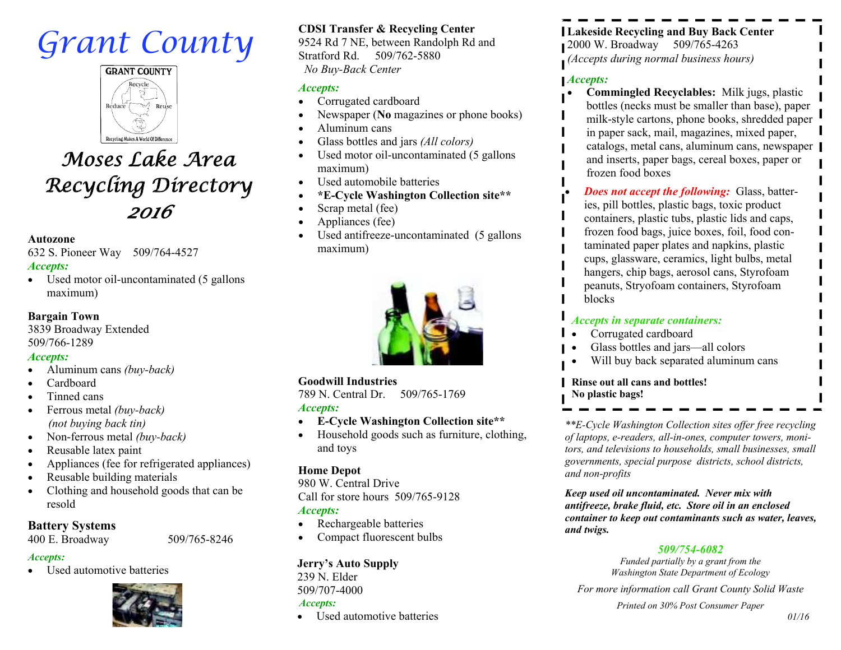# *Grant County*



## *Moses Lake Area Recycling Directory2016*

#### **Autozone**

 632 S. Pioneer Way 509/764-4527 *Accepts:* 

• Used motor oil-uncontaminated (5 gallons maximum)

#### **Bargain Town**

 3839 Broadway Extended 509/766-1289

#### *Accepts:*

- Aluminum cans *(buy-back)* $\bullet$
- $\bullet$ Cardboard
- Tinned cans $\bullet$
- Ferrous metal *(buy-back)* $\bullet$  *(not buying back tin)*
- Non-ferrous metal *(buy-back)* $\bullet$
- $\bullet$ Reusable latex paint
- Appliances (fee for refrigerated appliances)  $\bullet$
- $\bullet$ Reusable building materials
- Clothing and household goods that can be  $\bullet$ resold

#### **Battery Systems**

400 E. Broadway 509/765-8246

#### *Accepts:*

 Used automotive batteries  $\bullet$ 



**CDSI Transfer & Recycling Center** 

 9524 Rd 7 NE, between Randolph Rd and Stratford Rd. 509/762-5880 *No Buy-Back Center* 

#### *Accepts:*

- Corrugated cardboard  $\bullet$
- Newspaper (**No** magazines or phone books)  $\bullet$
- $\bullet$ Aluminum cans
- Glass bottles and jars *(All colors)*  $\bullet$
- Used motor oil-uncontaminated (5 gallons  $\bullet$ maximum)
- Used automobile batteries  $\bullet$
- **\*E-Cycle Washington Collection site\*\***  $\bullet$
- $\bullet$ Scrap metal (fee)
- $\bullet$ Appliances (fee)
- Used antifreeze-uncontaminated (5 gallons  $\bullet$ maximum)



#### **Goodwill Industries**

 789 N. Central Dr. 509/765-1769 *Accepts:* 

- **E-Cycle Washington Collection site\*\***  $\bullet$
- Household goods such as furniture, clothing,  $\bullet$ and toys

#### **Home Depot**

 980 W. Central Drive Call for store hours 509/765-9128 *Accepts:* 

- Rechargeable batteries  $\bullet$
- Compact fluorescent bulbs  $\bullet$

#### **Jerry's Auto Supply**

239 N. Elder 509/707-4000 *Accepts:*

 Used automotive batteries  $\bullet$ 

**Lakeside Recycling and Buy Back Center** 2000 W. Broadway 509/765-4263 *(Accepts during normal business hours)* 

#### *Accepts:*

- **Commingled Recyclables:** Milk jugs, plastic $\bullet$  bottles (necks must be smaller than base), paper milk-style cartons, phone books, shredded paper in paper sack, mail, magazines, mixed paper, catalogs, metal cans, aluminum cans, newspaper and inserts, paper bags, cereal boxes, paper or frozen food boxes
- $\bullet$  *Does not accept the following:* Glass, batteries, pill bottles, plastic bags, toxic product containers, plastic tubs, plastic lids and caps, frozen food bags, juice boxes, foil, food contaminated paper plates and napkins, plastic cups, glassware, ceramics, light bulbs, metal hangers, chip bags, aerosol cans, Styrofoam peanuts, Stryofoam containers, Styrofoam blocks

#### *Accepts in separate containers:*

- $\bullet$ Corrugated cardboard
- Glass bottles and jars—all colors  $\bullet$
- Will buy back separated aluminum cans  $\bullet$

**Rinse out all cans and bottles! No plastic bags!** 

*\*\*E-Cycle Washington Collection sites offer free recycling of laptops, e-readers, all-in-ones, computer towers, monitors, and televisions to households, small businesses, small governments, special purpose districts, school districts, and non-profits* 

*Keep used oil uncontaminated. Never mix with antifreeze, brake fluid, etc. Store oil in an enclosed container to keep out contaminants such as water, leaves, and twigs.* 

#### *509/754-6082*

 *Funded partially by a grant from the Washington State Department of Ecology* 

*For more information call Grant County Solid Waste* 

*Printed on 30% Post Consumer Paper*